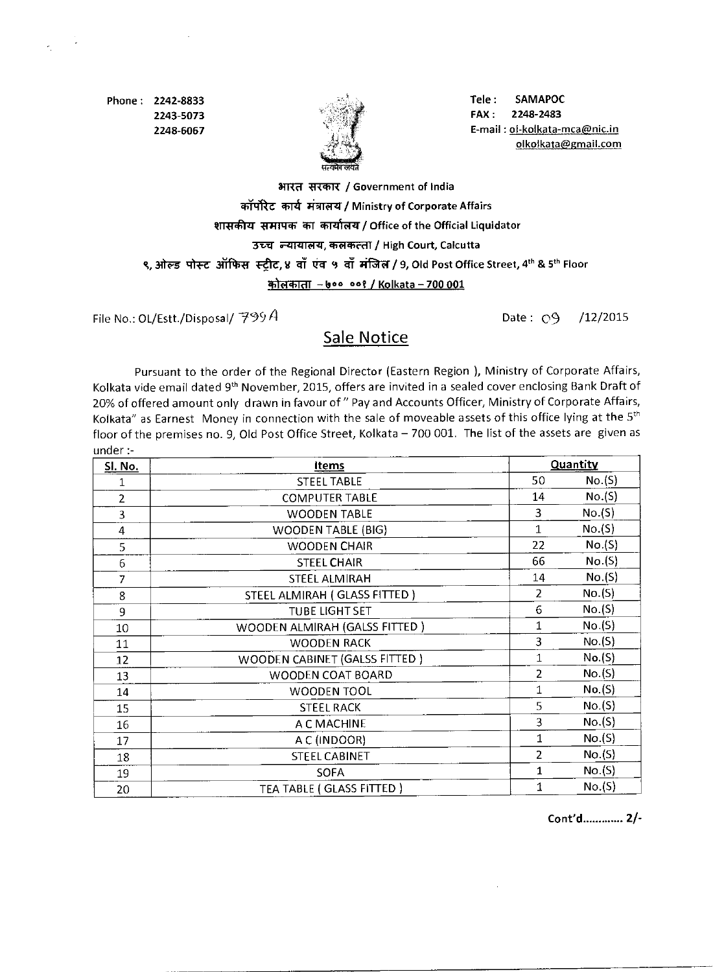Phone: 2242-8833 2243-5073 2248-6067



Tele : SAMAPOC FAX: 2248-2483 E-mail : ol-kolkata-mca@nic.in olkolkata@gmail.com

## आरत सरकार / Government of India कॉर्पोरेट कार्य मंत्रालय / Ministry of Corporate Affairs शासकीय समापक का कार्यालय / Office of the Official Liquidator उच्च न्यायालय, कलकत्ता / High Court, Calcutta ९, ओल्ड पोस्ट ऑफिस स्ट्रीट, ४ वाँ एंव ५ वाँ मंजिल / 9, Old Post Office Street, 4th & 5th Floor कोलकाता – ७०० ००१ / Kolkata – 700 001

File No.: OL/Estt./Disposal/  $799A$  Date:  $\bigcirc$ 9 /12/2015

## Sale Notice

Pursuant to the order of the Regional Director (Eastern Region ), Ministry of Corporate Affairs, Kolkata vide email dated 9<sup>th</sup> November, 2015, offers are invited in a sealed cover enclosing Bank Draft of 20% of offered amount only drawn in favour of " Pay and Accounts Officer, Ministry of Corporate Affairs, Kolkata" as Earnest Money in connection with the sale of moveable assets of this office lying at the 5<sup>th</sup> floor of the premises no. 9, Old Post Office Street, Kolkata — 700 001. The list of the assets are given as under:-

| <b>Sl. No.</b> | <b>Items</b>                  | Quantity       |        |
|----------------|-------------------------------|----------------|--------|
| 1              | <b>STEEL TABLE</b>            | 50             | No.(S) |
| $\overline{2}$ | <b>COMPUTER TABLE</b>         | 14             | No.(S) |
| 3              | <b>WOODEN TABLE</b>           | 3              | No.(S) |
| $\overline{4}$ | <b>WOODEN TABLE (BIG)</b>     | $\mathbf{1}$   | No.(S) |
| 5              | <b>WOODEN CHAIR</b>           | 22             | No.(S) |
| 6              | <b>STEEL CHAIR</b>            | 66             | No.(S) |
| $\overline{7}$ | <b>STEEL ALMIRAH</b>          | 14             | No.(S) |
| 8              | STEEL ALMIRAH (GLASS FITTED)  | 2              | No.(S) |
| 9              | <b>TUBE LIGHT SET</b>         | 6              | No.(S) |
| 10             | WOODEN ALMIRAH (GALSS FITTED) | $\mathbf{1}$   | No.(S) |
| 11             | <b>WOODEN RACK</b>            | $\overline{3}$ | No.(S) |
| 12             | WOODEN CABINET (GALSS FITTED) | $\mathbf{1}$   | No.(S) |
| 13             | WOODEN COAT BOARD             | $\overline{2}$ | No.(S) |
| 14             | WOODEN TOOL                   | $\mathbf 1$    | No.(S) |
| 15             | <b>STEEL RACK</b>             | 5              | No.(S) |
| 16             | A C MACHINE                   | 3              | No.(S) |
| 17             | A C (INDOOR)                  | 1              | No.(S) |
| 18             | <b>STEEL CABINET</b>          | $\overline{2}$ | No.(S) |
| 19             | <b>SOFA</b>                   | $\mathbf{1}$   | No.(S) |
| 20             | TEA TABLE (GLASS FITTED)      | 1              | No.(S) |

Cont'd............. 2/-